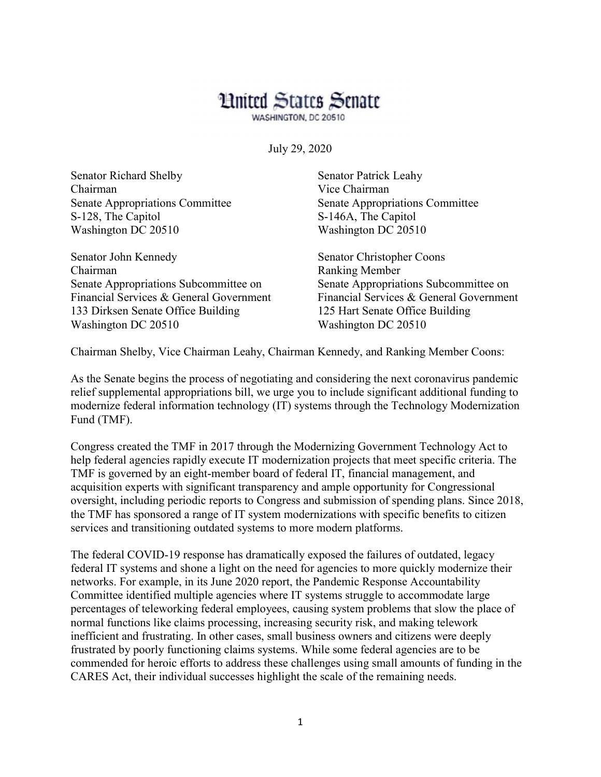## **Limited States Senate**

WASHINGTON, DC 20510

July 29, 2020

| Senator Richard Shelby          | <b>Senator Patrick Leahy</b> |
|---------------------------------|------------------------------|
| Chairman                        | Vice Chairman                |
| Senate Appropriations Committee | Senate Appropriations Com    |
| S-128, The Capitol              | S-146A, The Capitol          |
| Washington DC 20510             | Washington DC 20510          |
| Senator John Kennedy            | Senator Christopher Coons    |

Chairman Ranking Member Senate Appropriations Subcommittee on Senate Appropriations Subcommittee on 133 Dirksen Senate Office Building 125 Hart Senate Office Building Washington DC 20510 Washington DC 20510

tions Committee

Financial Services & General Government Financial Services & General Government

Chairman Shelby, Vice Chairman Leahy, Chairman Kennedy, and Ranking Member Coons:

As the Senate begins the process of negotiating and considering the next coronavirus pandemic relief supplemental appropriations bill, we urge you to include significant additional funding to modernize federal information technology (IT) systems through the Technology Modernization Fund (TMF).

Congress created the TMF in 2017 through the Modernizing Government Technology Act to help federal agencies rapidly execute IT modernization projects that meet specific criteria. The TMF is governed by an eight-member board of federal IT, financial management, and acquisition experts with significant transparency and ample opportunity for Congressional oversight, including periodic reports to Congress and submission of spending plans. Since 2018, the TMF has sponsored a range of IT system modernizations with specific benefits to citizen services and transitioning outdated systems to more modern platforms.

The federal COVID-19 response has dramatically exposed the failures of outdated, legacy federal IT systems and shone a light on the need for agencies to more quickly modernize their networks. For example, in its June 2020 report, the Pandemic Response Accountability Committee identified multiple agencies where IT systems struggle to accommodate large percentages of teleworking federal employees, causing system problems that slow the place of normal functions like claims processing, increasing security risk, and making telework inefficient and frustrating. In other cases, small business owners and citizens were deeply frustrated by poorly functioning claims systems. While some federal agencies are to be commended for heroic efforts to address these challenges using small amounts of funding in the CARES Act, their individual successes highlight the scale of the remaining needs.